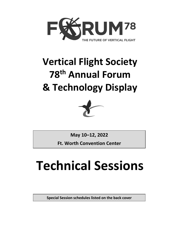

# **Vertical Flight Society 78th Annual Forum & Technology Display**



**May 10–12, 2022**

**Ft. Worth Convention Center**

# **Technical Sessions**

**Special Session schedules listed on the back cover**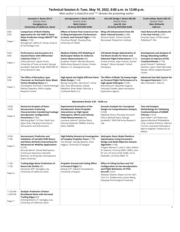|                                   | Technical Session A: Tues. May 10, 2022, 8:00 a.m. to 12:00 p.m.<br>Main author is listed first and "*" denotes the presenting author                                                                                                                                                                               |                                                                                                                                                                                                                                                                           |                                                                                                                                                                                                                                                                   |                                                                                                                                                                                                                                                                                                        |  |
|-----------------------------------|---------------------------------------------------------------------------------------------------------------------------------------------------------------------------------------------------------------------------------------------------------------------------------------------------------------------|---------------------------------------------------------------------------------------------------------------------------------------------------------------------------------------------------------------------------------------------------------------------------|-------------------------------------------------------------------------------------------------------------------------------------------------------------------------------------------------------------------------------------------------------------------|--------------------------------------------------------------------------------------------------------------------------------------------------------------------------------------------------------------------------------------------------------------------------------------------------------|--|
|                                   | <b>Acoustics I: Room 201-A</b><br>Session Chair:<br>Seongkyu Lee<br>University of California, Davis                                                                                                                                                                                                                 | Aerodynamics I: Room 201-BC<br>Session Chair:<br><b>Mark Calvert</b><br><b>US Army DEVCOM AvMC</b>                                                                                                                                                                        | Aircraft Design I: Room 202-AB<br>Session Chair:<br>Joon W. Lim<br><b>US Army DEVCOM AVMC</b>                                                                                                                                                                     | Crash Safety: Room 202-CD<br>Session Chair:<br><b>Mary Richards</b><br>Safe Inc.                                                                                                                                                                                                                       |  |
| $8:00 -$<br>8:30<br>Paper 1       | <b>Comparison of Multi-Fidelity</b><br>Approaches for the HART-II Rotor<br>Noise Prediction Using CREATE™-AV<br><b>Helios</b> (1195)<br>Zhongqi Jia*, Jeffrey D. Sinsay, Science<br>& Technology Corp.                                                                                                              | <b>Effects of Active Flow Control on Fan-</b><br>In-Wing Aerodynamic Performance<br>in Hover and Forward Flight (1143)<br>Chunhua Sheng*, Qiuying Zhao,<br>University of Toledo                                                                                           | Wing Lift Enhancement from Aft<br>Rotor Induced Suction (1268)<br>Richard Healy*, Farhan Gandhi,<br>Rensselaer Polytechnic Institute                                                                                                                              | <b>Fatal Rotorcraft Accidents for</b><br>a Ten-Year Period (1267)<br>Amanda Taylor, NTSB; Joseph<br>Pellettiere*, FAA                                                                                                                                                                                  |  |
| $8:30 -$<br>9:00<br>Paper 2       | <b>Performance and Acoustics of a</b><br><b>Stacked Rotor with Differential</b><br>Collective Pitch (37)<br>Chloe Johnson*, Jayant Sirohi,<br>University of Texas at Austin; George<br>Jacobellis, Rajneesh Singh, DEVCOM US<br>Army Research Labs                                                                  | <b>Medium-Fidelity CFD Modeling of</b><br><b>Multicopter Wakes for Airborne</b><br><b>Sensor Measurements (50)</b><br>Jonathan Chiew*, Michael Aftosmis,<br>NASA Ames Research Center; Kristen<br>Manies, U.S. Geological Survey                                          | <b>CFD Based Design Optimization of</b><br>Tail Boom Strake for Hover and<br>Sideward Flight Performance (1273)<br>Furkan Kurban, Alper Ezertas, Osman<br>Gungor*, Murat Senipek, Turkish<br>Aerospace                                                            | <b>Development and Analysis of</b><br><b>Energy Absorbing Subfloor</b><br><b>Concepts to Improve eVTOL</b><br>Crashworthiness (1179)<br>Jacob Putnam*, Nathaniel<br>Gardner, Justin Littell, Mercedes<br>Reaves, NASA Langley Research<br>Center                                                       |  |
| $9:00 -$<br>9:30<br>Paper 3       | The Effect of Boundary Layer<br><b>Character on Stochastic Rotor Blade</b><br><b>Vortex Shedding Noise (61)</b><br>Christopher Thurman*, Nicole Pettingill,<br>Nikolas Zawodny, NASA Langley<br>Research Center                                                                                                     | High Speed and Highly Efficient Rotor<br>Blade Design (1144)<br>Byung-Young Min, Alex Dunn*, Annie<br>Gao, Vera Klimchenko, Claude<br>Matalanis, Brian Wake, Sikorsky, a<br>Lockheed Martin Co.                                                                           | The Effect of Blade Tip Sweep Angle<br>on Forward Flight Performance of a<br>High-speed Helicopter (1236)<br>Keita Kimura*, Masahiko Sugiura,<br>Yasutada Tanabe, Japan Aerospace<br><b>Exploration Agency</b>                                                    | Advanced Seat Belt System for<br><b>Occupant Restraint (1241)</b><br>Marv Richards*, Safe Inc.                                                                                                                                                                                                         |  |
|                                   |                                                                                                                                                                                                                                                                                                                     | Refreshment Break: 9:30 - 10:00 a.m.                                                                                                                                                                                                                                      |                                                                                                                                                                                                                                                                   |                                                                                                                                                                                                                                                                                                        |  |
| $10:00 -$<br>10:30<br>Paper 4     | <b>Numerical Analysis of Rotor</b><br><b>Aeroacoustic Scattering</b><br><b>Characteristics Considering Fuselage</b><br><b>Aerodynamic Configuration</b><br>Parameters (1302)<br>Weicheng Bao*, Xi Chen, Dazhi Sun,<br>Qijun Zhao, Nanjing University of<br>Aeronautics and Astronautics                             | <b>Experimental Evaluation of the</b><br>Aerodynamic Rotor/Propeller<br><b>Interactions on High Speed</b><br><b>Helicopters, Efforts and Velocity</b><br>Fields Measurements (45)<br>Lauriane Lefevre*, Jérôme Delva,<br>Vianney Nowinski, ONERA; Antoine<br>Dazin, ENSAM | <b>Acoustic Analysis for Conceptual</b><br>Design via Comprehensive Analysis<br>(1234)<br>Matthew Floros, Phuriwat Anusonti-<br>Inthra, Michael Avera, George<br>Jacobellis*, DEVCOM Army Research<br>Lab                                                         | <b>Test and Analysis</b><br><b>Methodology for Validating</b><br><b>Crashworthiness of AW609</b><br>Tiltrotor (1310)<br>Ryan Miller*, Jim Waterman,<br>Agusta Westland Philadelphia<br>Corp.; Andrea Di Renzo, Fabrizio<br>Turconi, Leonardo Helicopters;<br>Marco Anghileri, Politecnico di<br>Milano |  |
| $10:30 -$<br>11:00<br>Paper 5     | <b>Aeroacoustic Prediction and</b><br><b>Validation of Variable RPM Rotors</b><br>and Rotor-Airframe Interactions for<br><b>Advanced Air Mobility Applications</b><br>(1274)<br>Mrunali Botre*, Daniel Wachspress,<br>Continuum Dynamics; Kenneth<br>Brentner, Ze Feng Gan, Pennsylvania<br><b>State University</b> | High-fidelity Numerical Investigation   Helicopter Rotor Blade Planform<br>of Complex Propeller Flows (1139)<br>Tao Zhang*, George Barakos, Ross<br>Higgins, University of Glasgow                                                                                        | <b>Optimization Using Parametric</b><br>Design and Multi-Objective Genetic<br>Algorithm (1160)<br>Yonghu Wenren*, Luke D. Allen, Robert<br>B. Haehnel, US Army ERDC CRREL; Joon<br>W. Lim, US Army CCDC AvMC; Ian D.<br>Dettwiller, US Army ERDC ITL              |                                                                                                                                                                                                                                                                                                        |  |
| $11:00 -$<br>11:30<br>Paper 6     | <b>Trailing-Edge Noise Predictions of</b><br><b>Rotorcraft Airfoils (95)</b><br>Hyunjune Gill*, Seongkyu Lee,<br>University of California, Davis                                                                                                                                                                    | <b>Propeller Ground and Ceiling Effect</b><br>in Forward Flight(72)<br>Jielong Cai*, Sidaard Gunasekaran,<br>University of Dayton                                                                                                                                         | <b>Effect of Lifting Surface and Tail</b><br><b>Configuration on the Aerodynamics</b><br>and Flight Mechanics of VTOL<br><b>Aircraft</b> (1237)<br>Abhijnan Dikshit, Shawn Lim Kin Yip*,<br>Tom C.A. Stokkermans, James Wang,<br>Nanyang Technological University |                                                                                                                                                                                                                                                                                                        |  |
| 11:30 AM -<br>12:00 PM<br>Paper 7 | <b>Analytic Prediction of Rotor</b><br><b>Broadband Noise with Serrated</b><br><b>Trailing Edges (54)</b><br>Sicheng (Kevin) Li*, Seongkyu Lee,<br>University of California, Davis                                                                                                                                  |                                                                                                                                                                                                                                                                           |                                                                                                                                                                                                                                                                   |                                                                                                                                                                                                                                                                                                        |  |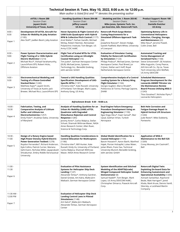|                                   | Technical Session A: Tues. May 10, 2022, 8:00 a.m. to 12:00 p.m.<br>Main author is listed first and "*" denotes the presenting author                                                                                                                                                              |                                                                                                                                                                                                                                                                                                                                    |                                                                                                                                                                                                                                                                    |                                                                                                                                                                                                                                                                                                    |  |
|-----------------------------------|----------------------------------------------------------------------------------------------------------------------------------------------------------------------------------------------------------------------------------------------------------------------------------------------------|------------------------------------------------------------------------------------------------------------------------------------------------------------------------------------------------------------------------------------------------------------------------------------------------------------------------------------|--------------------------------------------------------------------------------------------------------------------------------------------------------------------------------------------------------------------------------------------------------------------|----------------------------------------------------------------------------------------------------------------------------------------------------------------------------------------------------------------------------------------------------------------------------------------------------|--|
|                                   | eVTOL I: Room 200<br>Session Chair:<br>Jayant Sirohi<br><b>University of Texas, Austin</b>                                                                                                                                                                                                         | <b>Handling Qualities I: Room 204-AB</b><br>Session Chair:<br>Jeffery Lusardi<br><b>US Army</b>                                                                                                                                                                                                                                    | Modeling and Sim. I: Room 203-BC<br><b>Session Chairs:</b><br>Mike Jones, Systems Tech. Inc.<br>Jan Goericke, Adv. Rotorcraft Tech.                                                                                                                                | <b>Product Support: Room 100</b><br>Session Chair:<br><b>Danielle Dutcher</b><br>US Army                                                                                                                                                                                                           |  |
| $8:00 -$<br>8:30<br>Paper 1       | Development Of eVTOL Aircraft For<br>Urban Air Mobility At Joby Aviation<br>(1185)<br>Alex Stoll*, JoeBen Bevirt, Joby Aviation                                                                                                                                                                    | Hover Dynamics & Flight Control of a<br><b>UAM-Scale Quadcopter with Hybrid</b><br>RPM & Collective Pitch Control (1177)<br>Ariel Walter*, Farhan Gandhi, Michael<br>McKay, Robert Niemiec, Rensselaer<br>Polytechnic Institute; Tom Berger, US<br>Army CCDC AvMC                                                                  | <b>Rotorcraft Pitch-Surge Motion</b><br>Cueing Requirements for a<br>Simulated Offshore Approach Task<br>(94)<br>Josephine Roscoe*, Steven Hodge,<br>Gareth Padfield, Mark White, University<br>of Liverpool                                                       | <b>Optimizing Battery Life in</b><br><b>Conventional Helicopters:</b><br>Selection, Charging, Storage,<br>and Maintenance (22)<br>Mike Neus*, Jerome Powell,<br>Collin Zreet, Bell                                                                                                                 |  |
| $8:30 -$<br>9:00<br>Paper 2       | Power System Characterization and<br>Flight Testing of a >55lb Hybrid-<br><b>Electric Multirotor</b> (1214)<br>Michael Ricci*, Vishaal Varahamurthy,<br>LaunchPoint EPS; Robert Hicks,<br>Offshore Aviation                                                                                        | <b>Flight Test of Scaled MTEs for VTOL</b><br>Certification using an Ultralight<br><b>Coaxial Helicopter (16)</b><br>Tim Jusko*, German Aerospace Center<br>(DLR); Michael Jones, Systems<br>Technology Inc.; Benedikt Grebing,<br>edm aerotec GmbH                                                                                | <b>Evaluation of Simulator Cueing</b><br><b>Fidelity for Rotorcraft Certification</b><br>by Simulation (1123)<br>Philipp Podzus*, Michael Jones, German<br>Aerospace Center; Paul Breed, Jur<br>Crijnen, Stefan van't Hoff, Royal<br>Netherlands Aerospace Centre  | <b>Automated Tracking and</b><br><b>Forms Management of</b><br>Serialized Parts (1168)<br>Steve Schoonveld*, GE Aviation;<br>Mike Augustin, Corey Pearce,<br>AVX Aircraft Co.; Dy Le, Texas<br>Tech University; John Moffatt,<br>US Army DEVCOM                                                    |  |
| $9:00 -$<br>9:30<br>Paper 3       | <b>Electromechanical Modeling and</b><br><b>Testing of a Phase-Controlled</b><br>Stacked Rotor (1240)<br>Matthew Asper*, Jayant Sirohi,<br>University of Texas at Austin; Jack<br>Brewer, Michael Ricci, LaunchPoint EPS                                                                           | <b>Toward a UAS Handling Qualities</b><br><b>Specification: Development of UAS-</b><br>Specific MTEs (1187)<br>Christina Ivler*, Kate Russell, University<br>of Portland; Tom Berger, Mark Lopez,<br>Anthony Gong, US Army                                                                                                         | Comprehensive Analysis of a Control<br><b>Loading System for a Rotary Wing</b><br>Flight Simulator (1166)<br>Giorgio Guglieri, Marco Rinaldi*,<br>Politecnico di Torino; Pierluigi Capone,<br>ZHAW                                                                 | <b>Scheduled Maintenance</b><br><b>Program Development for the</b><br>Leonardo AW609 Tiltrotor via<br>the Maintenance Review<br><b>Board Process Utilizing MSG-3</b><br>(1243)<br>Titos Gosalvez*, Nicholas Flynn,*<br>Leonardo Helicopters                                                        |  |
|                                   |                                                                                                                                                                                                                                                                                                    | Refreshment Break: 9:30 – 10:00 a.m.                                                                                                                                                                                                                                                                                               |                                                                                                                                                                                                                                                                    |                                                                                                                                                                                                                                                                                                    |  |
| $10:00 -$<br>10:30<br>Paper 4     | <b>Fabrication, Testing, and</b><br><b>Comparative Analysis of Lithium</b><br><b>Sulfur and Lithium-lon</b><br>Electrochemistries (1257)<br>Emily Fisler*, Anubhav Datta, University<br>of Maryland                                                                                                | Analysis of Handling Qualities for an<br>Urban Air Mobility (UAM) eVTOL<br><b>Quadrotor with Degraded</b><br><b>Disturbance Rejection and Control</b><br><b>Response</b> (1285)<br>Jeremy Aires*, Carlos Malpica, Stefan<br>Schuet, Shannah Withrow-Maser, NASA<br>Ames Research Center; Allen Ruan,<br>Science & Technology Corp. | <b>Dual-Engine Failure Emergency</b><br>Procedure Development Using an<br><b>Engineering Simulator (1190)</b><br>Ilgaz Doga Okcu*, Kaan Sansal*, İlker<br>Uysal, Gokhan Virlan, Turkish<br>Aerospace                                                               | <b>Bolt Hole Corrosion and</b><br><b>Fatigue Damage Repair in</b><br><b>Hybrid Vertical Lift Structure</b><br>(1244)<br>Jude Restis*, Mike Dubberly,<br>Partworks                                                                                                                                  |  |
| $10:30 -$<br>11:00<br>Paper 5     | Design of a Rotary Engine based<br>High-Power Density Hybrid-Electric<br><b>Power Generation Testbed (1278)</b><br>Roydon Fernandes*, Richard Anderson,<br>Kyle Collins, Patrick Currier, Mariana<br>Gehrmann, Nicholas Miller, Jayaprakash<br>Shivakumar, Embry Riddle Aeronautical<br>University | <b>Handling Qualities Considerations in</b><br><b>Control Allocation for Multicopters</b><br>(1186)<br>Christina Ivler*, Will Hunter, Kate<br>Russell, Emily Vo, University of Portland;<br>Carlos Malpica, Shannah Withrow-<br>Maser, NASA Ames Research Center                                                                   | <b>Global Model Identification for a</b><br><b>Coaxial Helicopter (1199)</b><br>Barzin Hosseini*, Aaron Barth, Manfred<br>Hajek, Florian Holzapfel, Lukas Maier,<br>Julian Rhein, Franz Sax, Technical<br>University Munich; Benedikt Grebing,<br>edm aerotec GmbH | <b>Application of MSG-3</b><br><b>Maintenance to the Bell 525</b><br>(1269)<br>Corey Mooney, Jim Ciazinski*,<br>Bell                                                                                                                                                                               |  |
| $11:00 -$<br>11:30<br>Paper 6     |                                                                                                                                                                                                                                                                                                    | <b>Evaluation of Pilot Assistance</b><br><b>Systems for Helicopter Ship Deck</b><br>Landing $(1147)$<br>Alexander Štrbac*, Anthony Gardner,<br>Daniel Greiwe, Arti Kalra, Malte-Jörn<br>Maibach, German Aerospace Center                                                                                                           | <b>System Identification and Stitched</b><br>Modeling of the ADAPT&[trade]<br><b>Winged Compound Helicopter Scaled</b><br>Demonstrator (8)<br>Samuel Nadell*, Tom Berger, Mark<br>Lopez, US Army DEVCOM AvMC;<br>Christopher Dimarco, Piasecki Aircraft<br>Corp.   | <b>Rotorcraft Digital Twin:</b><br><b>Exploiting On-board Data for</b><br><b>Enhancing Sustainment and</b><br><b>Operational Availability (1206)</b><br>Avinash Sarlashkar, Raymond<br>Beale, Matt Harrigan*, Jared<br>Kloda, Mark Kruse, Dennis Vanill,<br>Sikorsky, a Lockheed Martin<br>Company |  |
| 11:30 AM -<br>12:00 PM<br>Paper 7 |                                                                                                                                                                                                                                                                                                    | <b>Evaluation of Helicopter Ship Deck</b><br><b>Landing Control Laws in Piloted</b><br>Simulations (1148)<br>Arti Kalra*, Malte-Jörn Maibach,<br>Alexander Strbac, German Aerospace<br>Center                                                                                                                                      |                                                                                                                                                                                                                                                                    |                                                                                                                                                                                                                                                                                                    |  |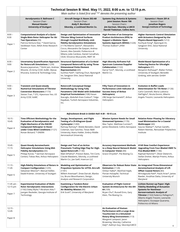|                                   | Technical Session B: Wed. May 11, 2022, 8:00 a.m. to 12:15 p.m.<br>Main author is listed first and "*" denotes the presenting author                                                                                       |                                                                                                                                                                                                                                                                                                                                                                  |                                                                                                                                                                                                                                 |                                                                                                                                                                                                                                                                                     |  |
|-----------------------------------|----------------------------------------------------------------------------------------------------------------------------------------------------------------------------------------------------------------------------|------------------------------------------------------------------------------------------------------------------------------------------------------------------------------------------------------------------------------------------------------------------------------------------------------------------------------------------------------------------|---------------------------------------------------------------------------------------------------------------------------------------------------------------------------------------------------------------------------------|-------------------------------------------------------------------------------------------------------------------------------------------------------------------------------------------------------------------------------------------------------------------------------------|--|
|                                   | Aerodynamics II: Ballroom C<br>Session Chair:<br><b>Manuel Kessler</b><br><b>University of Stuttgart</b>                                                                                                                   | Aircraft Design II: Room 202-AB<br>Session Chair:<br>Andy P. Bernhard<br>Sikorsky, a Lockheed Martin Co.                                                                                                                                                                                                                                                         | <b>Systems Eng./Avionics &amp; Systems</b><br>Joint Session: Room 100<br>Session Chairs:<br>Jim Garman, Sikorsky a LMCO<br>Harold Tiedeman, Collins Aero.                                                                       | Dynamics I: Room 201-A<br>Session Chair:<br><b>Jonathan Rogers</b><br><b>Georgia Institute of Technology</b>                                                                                                                                                                        |  |
| $8:00 -$<br>8:30<br>Paper 1       | <b>Computational Analysis of a Quiet</b><br>Single-Main Rotor Helicopter for Air<br>Taxi Operations (59)<br>Patricia Ventura Diaz, * David Garcia,<br>Seokkwan Yoon, NASA Ames Research<br>Center                          | Design and Optimization of Innovative<br><b>Tiltrotor Wing Control Surfaces</b><br>through Coupled Multibody-mid-<br>fidelity Aerodynamics Simulations<br>(1174) Alberto Savino*, Alessandro<br>Cocco, Alessandro De Gaspari, Andrea<br>Zanoni, Alex Zanottti, Politecnico di<br>Milano; João Cardoso, Daniel Carvalhais,<br>CEiiA; Vincenzo Muscarello, RMIT 34 | <b>High Preview of an Enterprise</b><br><b>Product Architecture (EPA) to</b><br>Support a Modular Open<br>Systems Approach (MOSA) (1226)<br>Thomas DuBois*, JHNA                                                                | <b>Higher Harmonic Control Simulation</b><br>with Actuators Designed by the<br>Physics-Based Approach (1212)<br>Kunhyuk Kong*, Byeonguk Im,<br>Sangloon Shin, Seoul National<br>University                                                                                          |  |
| $8:30 -$<br>9:00<br>Paper 2       | <b>Uncertainty Quantification Approach</b><br>for Rotorcraft Simulations (1239)<br>Buvana Jayaraman, * Rohit Jain, Andrew<br>Wissink, US Army CCDC AvMC; Manas<br>Khurana, Science & Technology Corp.                      | Structural Optimization of a Co-Axial<br><b>Compound Rotorcraft by using Three-</b><br><b>Dimensional Finite Element</b><br><b>Representation (69)</b><br>SunHoo Park*, TaeYong Chun, ByeongUK<br>Im, SangJoon Shin, Seoul National<br>University                                                                                                                | High Sikorsky Airframe Full<br>Spectrum Customer/Supplier<br>Collaboration (1122)<br>Darryl Toni*, Sikorsky, a Lockheed<br>Martin Co.                                                                                           | Model-Based Optimization of a<br><b>Tethering Device for Ultralight</b><br>Helicopters (97)<br>Benjamin Rothaupt*, Walter Fichter,<br>University of Stuttgart; Benedikt<br>Grebing, edm aerotec GmbH                                                                                |  |
| $9:00 -$<br>9:30<br>Paper 3       | <b>Transient and Quasi-steady</b><br><b>Numerical Simulations of Tiltrotor</b><br><b>Conversion Maneuvers (1173)</b><br>Steven Tran, * STC; Hyeonsoo Yeo, US<br>Army CCDC AvMC                                             | <b>Rotorcraft Conceptual Design</b><br><b>Methodology by Using Fully</b><br><b>Parametric CAD Model with Embedded</b><br><b>Empirical Formulations (108) Hasan</b><br>Ibacoglu, Abdullah Enes Coskun*, Tolga<br>Kayabasi, Turkish Aerospace Industries,<br>Inc.                                                                                                  | <b>Fifty Years of Innovation in</b><br>Performance Limit Indicator (A<br><b>Success Story of Airbus</b><br>Helicopters)<br>(38) Serge Germanetti*, Airbus<br>Helicopters                                                        | <b>Evolution in Buffet Loads</b><br><b>Determination for Tilt Rotor (1126)</b><br>Carlo Cassinelli, Maria Ludovica<br>Dall'Aglio*, Nicola Donini, Alberto<br>Angelo Trezzini, Leonardo Helicopters                                                                                  |  |
|                                   |                                                                                                                                                                                                                            | Refreshment Break in Exhibit Hall: 9:30 - 10:15 a.m.                                                                                                                                                                                                                                                                                                             |                                                                                                                                                                                                                                 |                                                                                                                                                                                                                                                                                     |  |
| $10:15 -$<br>10:45<br>Paper 4     | Time Efficient Methodology for the<br><b>Evaluation of Aerodynamics and</b><br><b>Flight Mechanics of the RACER</b><br><b>Compound Helicopter in Hover</b><br>under Cross Wind Conditions (1121)<br>Ronan Boisard, * ONERA | Design, Development, and Flight<br>Testing of a 25-Kilogram Quad-<br>Cyclocopter (1260)<br>Ramsay Ramsey*, Moble Benedict, David<br>Coleman, Saul Sanchez, Texas A&M<br>University; Atanu Halder, Embry-Riddle<br>Aeronautical University                                                                                                                        | <b>Mission System Needs for Small</b><br><b>Unmanned Systems (1170)</b><br>Max Taylor, Matthew Cunnien*,<br>James Kleveland, Collins Aerospace                                                                                  | <b>Relative Rotor Phasing for Vibratory</b><br><b>Load Minimization for a Coaxial</b><br>Multicopper (60)<br>Gaurav Makkar*, Farhan Gandhi,<br>Robert Niemiec, Rensselaer Polytechnic<br>Institute                                                                                  |  |
| $10:45 -$<br>11:15<br>Paper 5     | Quasi-Steady Aeromechanic<br><b>Helicopter Simulations Using Mid-</b><br><b>Fidelity Aerodynamics (65)</b><br>Philipp Kunze, * German Aerospace<br>Center); Tobias Ries, Airbus Helicopters                                | Design and Test of an Active<br><b>Pneumatic Trailing Edge Flap for High-</b><br>Speed Rotorcraft (1130)<br>Matt DiPalma*, Preston Bates, Tim Conti,<br>Claude Matalanis, Sikorsky, a Lockheed<br>Martin Co.; Joe Szefi, Invercon LLC                                                                                                                            | <b>Accuracy Improvement Methods</b><br>to a Deep Neural Network Model<br>in Computer Vision (40)<br>Grace Chrysilla*, The Boeing Co.                                                                                            | <b>H145 New Comfort Experience:</b><br><b>Upgrading From Four-Bladed HMR To</b><br>Five-Bladed BMR (1146)<br>Raphael Rammer*, Oliver Dieterich,<br>Stefan Dreher, Martijn Priems, Airbus<br>Helicopters                                                                             |  |
| $11:15 -$<br>11:45<br>Paper 6     | <b>High-fidelity Simulations of Rotors in</b><br><b>Compact Configuration (1235)</b><br>Sebastian Miesner*, Manuel Keßler,<br>Ewald Krämer, University of Stuttgart                                                        | <b>Modeling and Optimization of</b><br><b>Propulsion Systems for eVTOL Aircraft</b><br>(1181)<br>Willem Anemaat*, Drew Darrah, Wanbo<br>Liu, Bruno Moorthamers, Design,<br>Analysis and Research Corporation                                                                                                                                                     | <b>Observers for Robust Rotor State</b><br><b>Estimation (1128)</b><br>Omkar Halbe*, Manfred Hajek,<br>Florian Holzapfel, Technical<br>University Munich                                                                        | An Integrated Three-Dimensional<br><b>Aeromechanical Analysis of Lift</b><br><b>Offset Coaxial Rotors (83)</b><br>Mrinalgouda Patil*, Paulo Arias*, James<br>Baeder, Anubhav Datta, University of<br>Maryland                                                                       |  |
| 11:45 am -<br>12:15 pm<br>Paper 7 | <b>Experimental Evaluation of Multi-</b><br><b>Rotor Aerodynamic Interactions</b><br>(1182) Daley Wylie,* Abraham Atte,*<br>Juergen Rauleder, Georgia Institute of<br>Technology                                           | <b>Examining a Tandem-Rotor</b><br><b>Configuration for the Electric Urban</b><br>Air Mobility Mission (90)<br>Erik Scott*, University of Maryland                                                                                                                                                                                                               | <b>Evaluation of Flight Control</b><br>System Architectures for the AH-<br>64 (109)<br>Bryan Chu*, Russell Enns, Gary<br>Klein, The Boeing Co.                                                                                  | Lichten Runner-up Paper: High-<br><b>Fidelity Modelling of Actuation</b><br><b>Systems for Nonlinear</b><br>Aeroservoelastic Analysis of<br>Tiltrotor (1163) Federico Pellegrino*,<br>Alberto Angelo Trezzini, Leonardo<br>Helicopters; Giuseppe Quaranta,<br>Politecnico di Milano |  |
| $12:15 -$<br>12:45<br>Paper 8     |                                                                                                                                                                                                                            |                                                                                                                                                                                                                                                                                                                                                                  | An Evaluation of Human<br>Performance with a Large Area<br>Touchscreen in a Simulated<br><b>Rotary Wing Environment (113)</b><br>Margaret Lampazzi, Jason<br>Browning, Sikorsky; Catherine<br>Daly*, Kathryn Guy, Sikorsky/LMCO | 4                                                                                                                                                                                                                                                                                   |  |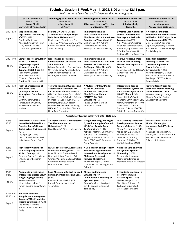|                                   | Technical Session B: Wed. May 11, 2022, 8:00 a.m. to 12:15 p.m.<br>Main author is listed first and "*" denotes the presenting author                                                                                                                         |                                                                                                                                                                                                                                                                                                                                                                      |                                                                                                                                                                                                                                                                                                 |                                                                                                                                                                                                                                                                                                        |                                                                                                                                                                                                                                                                   |
|-----------------------------------|--------------------------------------------------------------------------------------------------------------------------------------------------------------------------------------------------------------------------------------------------------------|----------------------------------------------------------------------------------------------------------------------------------------------------------------------------------------------------------------------------------------------------------------------------------------------------------------------------------------------------------------------|-------------------------------------------------------------------------------------------------------------------------------------------------------------------------------------------------------------------------------------------------------------------------------------------------|--------------------------------------------------------------------------------------------------------------------------------------------------------------------------------------------------------------------------------------------------------------------------------------------------------|-------------------------------------------------------------------------------------------------------------------------------------------------------------------------------------------------------------------------------------------------------------------|
|                                   | eVTOL II: Room 200<br>Session Chair:<br>Jayant Sirohi<br><b>University of Texas, Austin</b>                                                                                                                                                                  | Handling Qual. II: Room 204-AB<br>Session Chair:<br>Jeffery Lusardi<br><b>US Army</b>                                                                                                                                                                                                                                                                                | Modeling Sim. II: Room 203-BC<br>Session Chairs:<br>Mike Jones, Systems Tech. Inc.<br>Jan Goericke, ART                                                                                                                                                                                         | Propulsion I: Room 202-CD<br>Session Chair:<br>John Mordosky<br><b>Boeing Co.</b>                                                                                                                                                                                                                      | Unmanned I: Room 201-BC<br>Session Chair:<br>Jack Langelaan<br>Pennsylvania State Univ.                                                                                                                                                                           |
| $8:00 - 8:30$<br>Paper 1          | <b>Drag Performance</b><br><b>Degradation Due to Icing</b><br>of eVTOL (1202)<br>Geoffrey Karli*, Jose<br>Palacios, Sihong Yan, Penn<br>State; Robert McKillip,<br>Continuum Dynamics Inc.                                                                   | <b>Seeking Lift Share: Design</b><br><b>Tradeoffs for a Winged Single</b><br><b>Main Rotor Helicopter (62)</b><br>Mark Lopez*, Tom Berger, Eric<br>Tobias, US Army CCDC AvMC; Emily<br>Glover, Ashwani Padthe, San Jose<br><b>State University</b>                                                                                                                   | Implementation and<br><b>Linearization of a Rotor</b><br>Simulation with a State-Space<br>Free-Vortex Wake Model (6)<br>Umberto Saetti*, Auburn<br>University; Joseph Horn,<br>Pennsylvania State University                                                                                    | Dynamic Load Analysis of<br><b>Motion Converter Ball</b><br><b>Bearings in a Pericyclic</b><br>Transmission (89)<br>Nick Weinzapfel*, Nathan<br>Bolander, Sentient Science;<br>T. Mathur, AgustaWestland;<br>E. Smith, Penn State; H.<br>DeSmidt, Univ. of Tennessee                                   | A Novel Co-simulation<br><b>Framework for Verification &amp;</b><br><b>Validation of GNC Algorithms</b><br>for Autonomous UAV (77)<br>Victor Dezobry*, Federico<br>Cappuzzo, Siemens; D. Bianchi,<br>S. Di Gennaro, Università degli<br>Studi dell'Aquila         |
| $8:30 - 9:00$<br>Paper 2          | <b>Comprehensive Simulation</b><br>for eVTOL Aircraft-<br><b>Diagnosing Coupled</b><br>Airframe-Propulsion<br><b>Dynamic Instabilities (53)</b><br>Felix Brenner, Llorenc<br>Foraste Gomez, Patrick<br>O'Heron*, Gamma Tech.; J.<br>Goericke, M. Hasbun, ART | <b>Neuromuscular Response</b><br><b>Comparison for Center and Side</b><br><b>Stick Positions (1216)</b><br>Edward Bachelder*, San Jose State<br>University; Bimal Aponso, Federal<br>Aviation Administration; Jeff<br>Lusardi, US Army CCDC AvMC                                                                                                                     | <b>Implementation and</b><br><b>Linearization of a State-Space</b><br><b>Free-Vortex Wake Model</b><br>forFlapping-Wing Flight (5)<br>Umberto Saetti*, Auburn<br>University; Joseph Horn,<br>Pennsylvania State University                                                                      | Relative Adhesive Wear<br><b>Performance of Rolling</b><br><b>Element Bearing Material</b><br><b>Pairs (96)</b><br>Robert Sadinski, Carl Hager*,<br>Dave Prock, Timken<br>Company                                                                                                                      | <b>Transition Trajectory</b><br><b>Planning &amp; Control for</b><br>Quadrotor Biplanes in<br><b>Obstacle Cluttered</b><br><b>Environments</b> (1228)<br>Kristoff McIntosh*, Jae Woo<br>Kim, Sandipan Mishra, RPI, J.P.<br>Reddinger, DEVCOM Army<br>Research Lab |
| $9:00 - 9:30$<br>Paper 3          | <b>Flight Characteristics of</b><br>AAM/UAM-Scale<br><b>Quadcopters Under</b><br><b>Atmospheric Turbulence</b><br>(1129)<br>Matthew Bahr*, Etana<br>Ferede, Farhan Gandhi,<br>Rensselaer Polytechnic<br>Institute                                            | <b>Towards Handling Qualities and</b><br>Automation Assessment for<br><b>Certification of eVTOL Aircraft</b><br>(1261) Michael Jones, David Klyde*,<br>Systems Tech.; R. Schaller, D. Sizoo,<br>D. Webber, J. van Houdt, FAA; R.<br>Simmons, NASA/FAA Ret.; D.<br>Mitchell, Mitchell Aero.; M. Feary,<br>NASA ARC.; M. Schubert, Tiltrotor<br>Flight Test Consulting | A Multirotor Inflow Model<br><b>Based on Combined</b><br><b>Momentum Theory and</b><br><b>Simple Vortex Theory</b><br>(CMTSVT) for Flight<br><b>Simulations</b> (42)<br>Feyyaz Guner*, German<br>Aerospace Center                                                                               | <b>Integrating a Torque</b><br><b>Measurement System for</b><br>the GE T408 Engine into a<br><b>CH-47D Chinook (99)</b><br>Daniel Kakaley*, Scott<br>Kennedy, Caryn Kopay, Gary<br>Martin, Parker LORD; R. Kyff,<br>GE Aviation; G. Lane, K.<br>Durbin, US Army DEVCOM<br>AvMC; K. Ignatuk, Boeing Co. | <b>Feature-Based Vision for</b><br><b>Stochastic Motion Tracking</b><br><b>Under Partial Occlusion (1208)</b><br>Abhishek Shastry*, Inderjit<br>Chopra, Anubhav Datta,<br>University of Maryland                                                                  |
|                                   |                                                                                                                                                                                                                                                              |                                                                                                                                                                                                                                                                                                                                                                      | Refreshment Break in Exhibit Hall: 9:30 - 10:15 a.m.                                                                                                                                                                                                                                            |                                                                                                                                                                                                                                                                                                        |                                                                                                                                                                                                                                                                   |
| $10:15 -$<br>10:45<br>Paper 4     | <b>Experimental Evaluation of</b><br>Panel-Method-Based Path<br>Planning for eVTOL in A<br><b>Scaled Urban Environment</b><br>(1215)<br>Zeynep Bilgin*, Ilkay<br>Yavrucuk, Middle East Tech.<br>Univ.; Murat Bronz, ENAC                                     | An Explanation of Unanticipated<br>Yaw Phenomenom on<br>Helicopters (1125)<br>David Ferullo*, Airbus Helicopters                                                                                                                                                                                                                                                     | Design, Modeling, and Flight<br><b>Dynamics Analysis of Generic</b><br><b>Lift-Offset Coaxial Rotor</b><br><b>Configurations</b> (1131)<br>Ashwani Padthe*, Emily Glover,<br>San Jose State University; T.<br>Berger, M. Lopez, E. Tobias, US<br>Army CCDC AvMC; O. Juhasz, US<br>Naval Academy | <b>CFD Modeling Framework</b><br><b>Development for Robust</b><br>Rotorcraft Design (1140)<br>Shyam Neerarambam*, M.<br>Alexander, C. Berezin, D.<br>Bernier, N. Birtwell, D.<br>Coleman, R. Cotton, J.<br>Frydman, D. Halline, D.<br>Lamb, Sikorsky, a LMCO                                           | <b>Acceleration of Heuristic</b><br><b>Motion Planning for</b><br><b>Unmanned Aerial Vehicles</b><br>(1200)<br>Neelanga Thelasingha*, A.<br>Agung Julius, Sandipan Mishra,<br>Kaushik Nallan, Rensselaer<br>Polytechnic Institute                                 |
| $10:45 -$<br>11:15<br>Paper 5     | <b>High-Fidelity Analysis of</b><br><b>Six-Passenger Quadrotor</b><br>Air Taxi Concept (34)<br>Cameron Druyor,* Li Wang,<br>NASA Langley Research<br>Center                                                                                                  | <b>NGCTR-TD Tiltrotor Autorotation</b><br><b>Numerical Investigation (1120)</b><br>Fabio Riccardi, Giuliano Prando,<br>Line Up Aviation; Federico Del<br>Grande, Valentina Giuliani, Matteo<br>Pecoraro*, Andrea Ragazzi,<br>Leonardo Helicopters                                                                                                                    | A Comparison of High-Fidelity<br><b>Simulation Approaches for</b><br><b>Interactional Aerodynamics of</b><br><b>Multirotor Systems in</b><br><b>Forward Flight (1132)</b><br>Abhishek Chopra*, Farhan<br>Gandhi, Richard Healey, Onkar<br>Sahni, RPI                                            | <b>Advanced Data analytics</b><br>for Dynamic Systems<br><b>Monitoring (1162)</b><br>Océane Martin, Ammar<br>Mechouche, Emmanuel<br>Mermoz*, Airbus Helicopters                                                                                                                                        |                                                                                                                                                                                                                                                                   |
| $11:15 -$<br>11:45<br>Paper 6     | <b>Parametric Investigation</b><br>of Flow over a Rotor-Blown<br>Wing using High-fidelity<br><b>Simulations</b> (58)<br>Ullhas Udaya Hebbar*,<br>Farhan Gandhi, Onkar Sahni,<br>RPI                                                                          | <b>Load Alleviation Control vs. Load</b><br>Limiting Control: Pros and Cons.<br>(1255)<br>Chams Eddine Mballo*, J.V.R<br>Prasad, Georgia Institute of<br>Technology                                                                                                                                                                                                  | <b>Physics and Improved</b><br><b>Simulations for</b><br><b>Computational Modeling of</b><br>Synthetic Jets (1172)<br>Aaron Crawford*, Marilyn J.<br>Smith, Georgia Institute of<br>Technology                                                                                                  | <b>Dynamic Simulation of a</b><br>Rotor System with<br>Variable Speed (1217)<br>Michael Weigand*, M.<br>Bischläger, A. Poks, J. Koch,<br>Technical University; C.<br>Gross, Zoerkler Gears                                                                                                             |                                                                                                                                                                                                                                                                   |
| 11:45 am -<br>12:15 pm<br>Paper 7 | <b>Advanced Thermal</b><br><b>Analysis Methodologies to</b><br><b>Support eVTOL Propulsion</b><br><b>System Optimization (1288)</b><br>Lee Rogers * Thomas<br>Holdstock, Drive System<br>Design                                                              |                                                                                                                                                                                                                                                                                                                                                                      |                                                                                                                                                                                                                                                                                                 |                                                                                                                                                                                                                                                                                                        |                                                                                                                                                                                                                                                                   |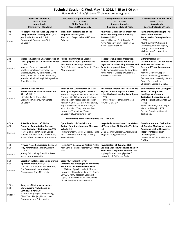|                             | Technical Session C: Wed. May 11, 2022, 1:45 to 6:00 p.m.<br>Main author is listed first and "*" denotes presenting author                                                                                                                                                                                                |                                                                                                                                                                                                                                                                                                                                                                                                                  |                                                                                                                                                                                                                                                                |                                                                                                                                                                                                                                                                                                    |
|-----------------------------|---------------------------------------------------------------------------------------------------------------------------------------------------------------------------------------------------------------------------------------------------------------------------------------------------------------------------|------------------------------------------------------------------------------------------------------------------------------------------------------------------------------------------------------------------------------------------------------------------------------------------------------------------------------------------------------------------------------------------------------------------|----------------------------------------------------------------------------------------------------------------------------------------------------------------------------------------------------------------------------------------------------------------|----------------------------------------------------------------------------------------------------------------------------------------------------------------------------------------------------------------------------------------------------------------------------------------------------|
|                             | <b>Acoustics II: Room 100</b><br>Session Chair:<br>James Baeder<br><b>University of Maryland</b>                                                                                                                                                                                                                          | Adv. Vertical Flight I: Room 202-AB<br>Session Chair:<br><b>Moble Benedict</b><br><b>Texas A&amp;M University</b>                                                                                                                                                                                                                                                                                                | Aerodynamics III: Ballroom C<br>Session Chair:<br>Juergen Rauleder<br>Georgia Institute of Tech.                                                                                                                                                               | Crew Stations I: Room 201-A<br><b>Session Chair:</b><br><b>Karen Feigh</b><br>Georgia Institute of Tech.                                                                                                                                                                                           |
| $1:45 -$<br>2:15<br>Paper 1 | <b>Helicopter Noise Source Separation</b><br>Using an Order Tracking Filter (30)<br>Joel Sundar Rachaprolu*, Eric<br>Greenwood, Pennsylvania State<br>University                                                                                                                                                          | <b>Transition Performance of Tilt</b><br><b>Propeller Aircraft (1189)</b><br>Alex Stoll*, Gregor Veble Mikić, Joby<br>Aviation                                                                                                                                                                                                                                                                                   | Analytical Model Development for<br><b>Rotors Hovering Above Heaving</b><br><b>Surfaces</b> (1299)<br>Joseph Milluzzo*, Scott Davids, US<br>Naval Academy; John Tritschler, US<br>Naval Test Pilot School                                                      | <b>Further Simulated Flight Trial</b><br><b>Assessment of Novel</b><br><b>Autorotation Cueing Methods</b><br>(1201)<br>Mushfiqul Alam*, Cranfield<br>University; Jonathan Rogers,<br>Georgia Institute of Tech.;<br>Michael Jump*, University of<br>Liverpool                                      |
| $2:15 -$<br>2:45<br>Paper 2 | <b>Measured Acoustic Characteristics of</b><br>Low Tip Speed eVTOL Rotors in Hover<br>(1253)<br>Jonathan Fleming*, Jacob Gold,<br>Matthew Langford, Technology in<br>Blacksburg, Inc.; Kyle Schwartz, David<br>Wisda, AVEC, Inc.; Nathan Alexander,<br>Jeremiah Whelchel, Virginia Polytechnic<br><b>State University</b> | <b>Robotic Hummingbird versus</b><br>Quadrotor: a Flight Dynamics and<br><b>Gust Response Comparison (1272)</b><br>David Coleman*, Moble Benedict, Texas<br><b>A&amp;M University</b>                                                                                                                                                                                                                            | <b>Helicopter Shipboard Operation:</b><br><b>Effect of Atmospheric Boundary</b><br>Layer on Turbulent Ship Airwake and<br>Rotor Aerodynamic Loads (1220)<br>Neda Taymourtash, Alberto Guardone,<br>Myles Morelli, Giuseppe Quaranta*,<br>Politecnico di Milano | Differential Role of<br><b>Gravitoinertial Cues for Active</b><br>and Passive Control in<br><b>Degraded Visual Environments</b><br>(1314)<br>Martine Godfroy-Cooper*<br>Edward Bachelder, Joel Miller,<br>San Jose State University; Benoit<br>Bardy, Euromov; Jean-<br>Christophe Sarrazin, ONERA |
| $2:45 -$<br>3:15<br>Paper 3 | <b>Ground-based Acoustic</b><br><b>Measurements of Small Multirotor</b><br><b>Aircraft</b> (1211)<br>Nicholas Blaise Konzel, Eric<br>Greenwood*, Pennsylvania State<br>University                                                                                                                                         | <b>Blade Shape Optimization of Mars</b><br><b>Helicopter Exploring Pit Craters (93)</b><br>Masahiko Sugiura*, Keita Kimura, Akira<br>Oyama, Hideaki Sugawara, Yasutada<br>Tanabe, Japan Aerospace Exploration<br>Agency; Y. Buto, M. Sato, K. Yoshikawa,<br>Kogakuin University; M. Kanazaki, D.<br>Kikuchi, Y. Kishi, Tokyo Metropolitan<br>University; T. Minajima, Tokyo<br>University of Agriculture & Tech. | <b>Automated Inference of Vortex Core</b><br><b>Physics of Hovering Rotor Wakes</b><br><b>Using Machine Learning Techniques</b><br>(1280)<br>Jennifer Abras*, Nathan Hariharan,<br><b>HPCMP CREATE™</b>                                                        | 3D Conformal Pilot Cueing for<br>Rotorcraft Shipboard<br><b>Landings: On-Demand</b><br><b>Trajectory Generation used</b><br>with a Flight Path Marker Cue<br>(1175)<br>Robert Walters*, Karen Feigh,<br>Mahmoud Hayajnh, J.V.R.<br>Prasad, Georgia Institute of<br>Technology                      |
|                             |                                                                                                                                                                                                                                                                                                                           | Refreshment Break in Exhibit Hall: 3:15 – 4:00 p.m.                                                                                                                                                                                                                                                                                                                                                              |                                                                                                                                                                                                                                                                |                                                                                                                                                                                                                                                                                                    |
| $4:00 -$<br>4:30<br>Paper 4 | A Realistic Rotorcraft Noise<br><b>Footprint Computation for Low-</b><br>Noise Trajectory Optimization (74)<br>Pierre Dieumegard*, Julien Caillet,<br>Frédéric Guntzer, Airbus Helicopters;<br>Sonia Cafieri, Université de Toulouse                                                                                      | <b>Optimization of Coaxial Rotor</b><br>System for a Gun-launched Micro Air<br>Vehicle (24)<br>Hunter Denton*, Moble Benedict, Texas<br>A&M University; Hao Kang, US Army<br>Research Lab                                                                                                                                                                                                                        | Large Eddy Simulation of the Wakes<br>of Three Urban Air Mobility Vehicles<br>(63)<br>Denis-Gabriel Caprace*, Andrew Ning,<br>Brigham Young University                                                                                                         | <b>Development and Evaluation</b><br>of Coupling Modes and Haptic<br><b>Functions enabled by Active</b><br>Inceptor integration in<br><b>Cockpits</b> (1145)<br>Laurent Binet*, Raphaël Perret,<br>ONERA                                                                                           |
| 4:30 -<br>5:00<br>Paper 5   | <b>Flyover Noise Comparison Between</b><br><b>Joby Aircraft and Similar Aircraft</b><br>(1180)<br>Jeremy Bain*, Greg Goetchius, David<br>Josephson, Joby Aviation                                                                                                                                                         | Hoverfoil™ Design and Testing (1282)<br>Kelly Echols, Randall Petersen*, LeVanta<br>Tech LLC                                                                                                                                                                                                                                                                                                                     | <b>Investigation of Dynamic Stall</b><br>Leading-Edge Flow Features at a Low<br><b>Transitional Reynolds Number (103)</b><br>Jagdeep Batther, Seongkyu Lee,*<br>University of California, Davis                                                                |                                                                                                                                                                                                                                                                                                    |
| $5:00 -$<br>5:30<br>Paper 6 | <b>Variation in Helicopter Noise During</b><br><b>Approach Maneuvers (1277)</b><br>Damaris Zachos*, Kenneth Brentner,<br>Eric Greenwood, Lauren Weist,<br>Pennsylvania State University                                                                                                                                   | <b>Steady &amp; Transient Hover</b><br><b>Performance Investigation of Electric</b><br><b>Medium-sized Variable-RPM Rotor</b><br>(1259) Peter Ryseck*, Inderjit Chopra,<br>University of Maryland; Rajneesh Singh,<br>DEVCOM Army Research Lab; Mark<br>Lopez, US Army DEVCOM AVMC; Emily<br>Glover, San Jose State University                                                                                   |                                                                                                                                                                                                                                                                |                                                                                                                                                                                                                                                                                                    |
| $5:30 -$<br>6:00<br>Paper 7 | <b>Analysis of Rotor Noise during</b><br><b>Maneuvering Flight based on</b><br><b>CLORNS Solver (1291)</b><br>Xi Chen*, Muyang Lin, Weiqi Wang,<br>Qijun Zhao, Nanjing University of<br>Aeronautics and Astronautics                                                                                                      |                                                                                                                                                                                                                                                                                                                                                                                                                  |                                                                                                                                                                                                                                                                |                                                                                                                                                                                                                                                                                                    |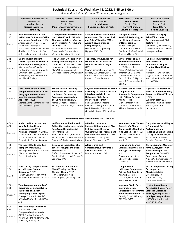|                             | Technical Session C: Wed. May 11, 2022, 1:45 to 6:00 p.m.<br>Main author is listed first and "*" denotes presenting author                                                                                                                                                            |                                                                                                                                                                                                                                                        |                                                                                                                                                                                                                                                                                                                      |                                                                                                                                                                                                                                                                  |                                                                                                                                                                                                                                    |
|-----------------------------|---------------------------------------------------------------------------------------------------------------------------------------------------------------------------------------------------------------------------------------------------------------------------------------|--------------------------------------------------------------------------------------------------------------------------------------------------------------------------------------------------------------------------------------------------------|----------------------------------------------------------------------------------------------------------------------------------------------------------------------------------------------------------------------------------------------------------------------------------------------------------------------|------------------------------------------------------------------------------------------------------------------------------------------------------------------------------------------------------------------------------------------------------------------|------------------------------------------------------------------------------------------------------------------------------------------------------------------------------------------------------------------------------------|
|                             | Dynamics II: Room 202-CD<br>Session Chair:<br>Jonathan Rogers<br>Georgia Institute of<br><b>Technology</b>                                                                                                                                                                            | <b>Modeling &amp; Simulation III:</b><br><b>Room 203-BC</b><br>Session Chair:<br>Mike Jones, Systems Tech. Inc.<br>Jan Goericke, ART                                                                                                                   | Safety: Room 200<br>Session Chair:<br>Alexia Payan<br>Georgia Institute of Tech.                                                                                                                                                                                                                                     | <b>Structures &amp; Materials I:</b><br>Room 204-AB<br>Session Chair:<br><b>Larry Pilkington</b><br><b>Columbia Helicopters</b>                                                                                                                                  | <b>Test &amp; Evaluation I:</b><br><b>Room 201-BC</b><br>Session Chair:<br><b>Donald Byrne</b><br>Boeing Co. (Ret.)                                                                                                                |
| $1:45 -$<br>2:15<br>Paper 1 | <b>Pilot Biomechanics for the</b><br><b>Definition of a Rotorcraft-Pilot</b><br><b>Interaction Experiment (118)</b><br>Andrea Zanoni, A. Cocco, D.<br>Marchesoli, Pierangelo<br>Masarati* C. Talamo, Politecnico<br>di Milano; F. Colombo, E. Fosco,<br>S. Kemp, Leonardo Helicopters | A Comparative Assessment of<br>the NATO-GD and SFS2 Ship<br>Airwakes and their Influence<br>upon Helicopter Aerodynamic<br><b>Loading</b> $(1222)$<br>Nicholas Fernandez*, leuan<br>Owen, Neale Watson, Mark<br>White, University of Liverpool         | Safety Considerations on the<br><b>Operation of Electric Vertical</b><br>and Takeoff Landing (VTOL)<br>Aircraft at Airports and<br>Vertiports (104)<br>Gaël Le Bris*, Loup-Giang<br>Nguyen, WSP USA                                                                                                                  | <b>The Application of</b><br><b>Sandwich Technology to</b><br>the Airframe Structure<br>of Helicopters (73)<br>Rainer Arelt*, Jan-<br>Christoph Arent, Mathias<br>Dambaur, Stefan Goerlich,<br>Benjamin Hailer, Airbus                                           | <b>Automatic Category A</b><br>Takeoff for H145 -<br><b>Development and Flight</b><br><b>Testing</b> (111)<br>Carl Ockier*, Paul Prevost,<br>Daniel Reber, Marc Salesse-<br>Lavergne, Airbus                                       |
| $2:15 -$<br>2:45<br>Paper 2 | On the Impact of Flight<br><b>Control Systems on Kinetosis</b><br>of Helicopter Passengers (44)<br>Süleyman Özkurt*, Walter<br>Fichter, University of Stuttgart;<br>Christian Fischer, Airbus<br>Helicopters; Heinrich Bülthoff,<br>Max Planck Society                                | The Effect of Lift Position on<br>Helicopter Recovery to a Twin-<br><b>Island Aircraft Carrier (1151)</b><br>Neale Watson*, Ieuan Owen,<br>Mark White, University of<br>Liverpool; Richard Lynn, QinetiQ                                               | The Safety of Advanced Air<br>Mobility and the Effects of<br>Wind in the Urban Canyon<br>(1152)<br>Sharon Schajnoha, Maryam Al<br>Labbad, Guy Larose*, RWDI; Hali<br>Barber, Alanna Wall, National<br>Research Council Canada                                                                                        | Development of a 3D<br><b>Braided Preform for a</b><br><b>Rotorcraft Flex-beam</b><br>(1127) Christopher<br>Pastore*, T. Liao, Thomas<br>Jefferson Univ.; B. Ong,<br>Consultant; H. Lam, DE<br>Tech.; T. Chen, S. Ng, US<br>Navy; D. Nguyen, Sikorsky,<br>a LMCO | Full-Scale Investigation of<br>Rotor/Obstacle<br>Interactions using an<br><b>Elevated Fixed Platform</b><br>(1153)<br>Mark Silva*, Eric Hayden,<br>Leighton Myers, US NAVAIR;<br>John Holder, John Tritschler*<br><b>US NAWCAD</b> |
| $2:45 -$<br>3:15<br>Paper 3 | <b>Cheeseman Award Paper:</b><br><b>Damper Model Identification</b><br><b>Using Hybrid Physical and</b><br><b>Machine Learning Based</b><br>Approach (1322)<br>Michele Zilletti* Ermanno Fosco,<br>Leonardo Helicopters                                                               | <b>Towards Certification by</b><br>Simulation with model-based<br>continuous Engineering<br>Processes showcased on<br>eVTOL Application (1242)<br>Marcel Gottschall, Bastian<br>Binder, Alexis Castel*, ESI Group                                      | <b>Physics-Based Detection of the</b><br><b>Proximity to Loss of Tail Rotor</b><br><b>Effectiveness Within the</b><br><b>Helicopter Flight Data</b><br><b>Monitoring Program (41)</b><br>Paola Zanella*, Concepts<br>Beyond; Charles Johnson, FAA;<br>Dimitri Mavris, JVR Prasad,<br>Georgia Institute of Technology | Vitrimer Carbon Fiber<br><b>Composites for</b><br><b>Rotorcrafts Components</b><br>with Fatigue Reverse<br><b>Ability</b> (1141)<br>Mithil Kamble*, Nikhil<br>Koratkar, Catalin R Picu,<br>Sikharin Pranompont, RPI                                              | <b>Flight Test Validation of</b><br><b>Thrust Axis Tactile Cueing</b><br>System on AW609 Tiltrotor<br>(1262)<br>Lucia DeNicola*, Luca<br>Belluomini, Ahmad Haidar,<br>Sid Xiao, Leonardo<br>Helicopters                            |
|                             |                                                                                                                                                                                                                                                                                       |                                                                                                                                                                                                                                                        | Refreshment Break in Exhibit Hall: 3:15 - 4:00 p.m.                                                                                                                                                                                                                                                                  |                                                                                                                                                                                                                                                                  |                                                                                                                                                                                                                                    |
| $4:00 -$<br>4:30<br>Paper 4 | <b>Blade Load Reconstruction</b><br>from Embedded Strain<br><b>Measurements (1198)</b><br>Pierangelo Masarati, P. Bettini,<br>D. Rigamonti, Carmen Talamo*<br>Politecnico di Milano; D. De<br>Gregoriis, R. Cumbo, Siemens                                                            | Verification, Validation and<br><b>Calibration Under Uncertainty</b><br>for a Scaled Experimental<br>Rotor Model (64)<br>Neda Taymourtash, Giuseppe<br>Abate, Matteo Daniele, Giuseppe   John Hewitt*, Loan (Joan)<br>Quaranta*, Politecnico di Milano | <b>A Method to Reduce</b><br><b>Rotorcraft Development Risk</b><br>by Integrating Historical<br><b>Quantitative Risk Assessment</b><br>into Fault Tree Models (1276)<br>Pham*, Sikorsky, a LMCO                                                                                                                      | Analysis of a Sharp<br>Radius on the Shank of a<br>Ring Locked Stud (1150)<br>Lin Liu*, David Binney,<br>Sikorsky, a Lockheed<br>Martin Co.                                                                                                                      | Nonlinear Finite Element Energy-Maneuverability as<br>a Framework for<br>Performance and<br><b>Handling Qualities Testing</b><br>(1300) John Tritschler*, US<br>Naval Test Pilot School;<br>Brandon Dotson, US Army                |
| $4:30 -$<br>5:00<br>Paper 5 | The Inter-2-Blade Lead-Lag<br>Damper Concept (117)<br>Pierangelo Masarati*, Leonardo<br>Frison, Andrea Zanoni,<br>Politecnico di Milano                                                                                                                                               | Design and Integration of a<br><b>Tilt-Rotor Flight Simulation</b><br><b>Platform</b> (1167)<br>Stefano Primatesta*, F. Barra, G.<br>Guglieri, Politecnico di Torino; P.<br>Capone, ZHAW                                                               | <b>A Structured and</b><br><b>Comprehensive Air Vehicle</b><br><b>Risk Assessment (76)</b><br>Laurence Mutuel*, Bell                                                                                                                                                                                                 | <b>Housing and Bearing</b><br><b>Deformation Interaction</b><br>of Large Size Bearings<br>(43)<br>Biqiang (Johnny) Xu*,<br>Sikorsky, a Lockheed<br>Martin Co.                                                                                                    | <b>Thermodynamic Modeling</b><br>for the Analysis of Non-<br><b>Stabilized Flight Test</b><br>Temperature Data (15)<br>Denis Hamel, Carson<br>Allgood*, Thomas Cooper*,<br>Alexander Kolarich*, Airbus                             |
| $5:00 -$<br>5:30<br>Pape6   | <b>Effect of Lag Damper Failure</b><br>on Helicopter Ground<br>Resonance (1245)<br>Farhan Gandhi*, Jonah Whitt,<br>Rensselaer Polytechnic Institute                                                                                                                                   | XV-15 Rotor Simulation in<br>Flow360 using the Blade<br><b>Element Theory (1192)</b><br>John Moore*, Feilin Jia,<br>FlexCompute; Qiqi Wang, MIT                                                                                                        |                                                                                                                                                                                                                                                                                                                      | <b>Comparison of</b><br><b>Helicopter Component</b><br><b>Fatigue Test Results to</b><br><b>Analysis</b> (75) James<br>Michael*, Leigh Altman,<br>Nathan Green, Bell                                                                                             | eVTOL Component Testing<br>for Supporting<br>Algorithmic Icing<br>Detection (1248)<br>Robert McKillip*,<br>Continuum Dynamics                                                                                                      |
| $5:30 -$<br>6:00<br>Paper 7 | <b>Time-Frequency Analysis of</b><br><b>Experimental and Analytical</b><br><b>Hub Loads of a Rotor</b><br><b>Undergoing a Rotor Speed</b><br>Change (39) Martin Sekula*,<br>NASA LARC; Carl Russell, NASA<br>ARC                                                                      |                                                                                                                                                                                                                                                        |                                                                                                                                                                                                                                                                                                                      | <b>Improved Strain Gage</b><br>Instrumentation<br><b>Strategies for Rotorcraft</b><br><b>Blade Measurements (88)</b><br>Timothy Davis*, US Army<br>DEVCOM AvMC                                                                                                   | <b>Lichten Award Paper:</b><br><b>Automated Optical Rotor</b><br><b>Blade Tip Clearance</b><br><b>Tracking Using Artificial</b><br><b>Intelligence Algorithms</b><br>(1325) Timothy Schmidt*,<br>Sikorsky, a LMCO                  |
| $6:00 -$<br>6:30<br>Paper 8 | <b>Pre-test Analysis on Slowed</b><br><b>Mach-scaled Thrust</b><br><b>Compounding Rotorcraft</b><br>(1279) Shashank Maurya*,<br>Inderjit Chopra, Anubhav Datta,<br>University of Maryland                                                                                             |                                                                                                                                                                                                                                                        |                                                                                                                                                                                                                                                                                                                      |                                                                                                                                                                                                                                                                  |                                                                                                                                                                                                                                    |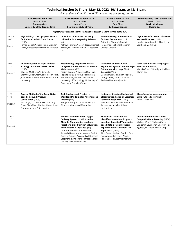|                    | Technical Session D: Thurs. May 12, 2022, 10:15 a.m. to 12:15 p.m.<br>Main author is listed first and "*" denotes the presenting author |                                                                                                                                                                                                                                                              |                                                                                                                                                                                                   |                                                                                                        |  |  |
|--------------------|-----------------------------------------------------------------------------------------------------------------------------------------|--------------------------------------------------------------------------------------------------------------------------------------------------------------------------------------------------------------------------------------------------------------|---------------------------------------------------------------------------------------------------------------------------------------------------------------------------------------------------|--------------------------------------------------------------------------------------------------------|--|--|
|                    | <b>Acoustics III: Room 100</b><br>Session Chair:<br>Seongkyu Lee<br>University of California, Davis                                     | <b>Crew Stations II: Room 201-A</b><br>Session Chair:<br><b>Karen Feigh</b><br>Georgia Institute of Tech.                                                                                                                                                    | <b>HUMS I: Room 202-CD</b><br>Session Chair:<br><b>Dale Pluss</b><br><b>Collins Aerospace</b>                                                                                                     | <b>Manufacturing Tech. I: Room 200</b><br>Session Chair:<br>David Misciagna<br>Boeing Co.              |  |  |
|                    |                                                                                                                                         | Refreshment Break in Exhibit Hall Prior to Session D Start: 9:30 to 10:15 a.m.                                                                                                                                                                               |                                                                                                                                                                                                   |                                                                                                        |  |  |
| $10:15 -$<br>10:45 | <b>High Solidity, Low Tip-Speed Rotors</b><br>for Reduced eVTOL Tonal Noise<br>(1256)                                                   | Individual Differences in Cueing<br><b>Utilization in Rotary-Wing Aviators</b><br>(66)                                                                                                                                                                       | <b>Ensemble Integration Methods</b><br>for Load Estimation (1124)<br>Catherine Cheung*, Zouhair                                                                                                   | Digital Transformation of a 6000-<br>Year-Old Process (1149)<br>Heather Woodworth*, Sikorsky, a        |  |  |
| Paper 1            | Farhan Gandhi*, Justin Pepe, Brendan<br>Smith, Rensselaer Polytechnic Institute                                                         | Kathryn Feltman*, Jason Boggs, Michael<br>Wilson, US Army Aeromedical Research<br>Lab                                                                                                                                                                        | Hamaimou, National Research<br>Council Canada                                                                                                                                                     | Lockheed Martin Co.                                                                                    |  |  |
| $10:45 -$<br>11:15 | An Investigation of Flight Control<br><b>Strategy on Generic eVTOL Noise</b><br>(1290)                                                  | <b>Methodology Proposal to Better</b><br><b>Integrate Human Factors in Aviation</b><br>Maintenance. (112)                                                                                                                                                    | <b>Validation of Probabilistic</b><br><b>Regime Recognition and Damage</b><br><b>Estimation with Large Fleet</b>                                                                                  | Paint Scheme & Marking Digital<br>Transformation (48)<br>Mary DaSilva*, Sikorsky, a Lockheed           |  |  |
| Paper 2            | Bhaskar Mukherjee*, Kenneth<br>Brentner, Eric Greenwood, Joseph Horn,<br>Jean-Pierre Theron, Pennsylvania State<br>University           | Fabien Bernard*, Georges Devilliers,<br>Raphael Paquin, Airbus Helicopters;<br>Mohsen Zare, Belfort-Montbéliard<br>University of Technology, University of<br>Bourgogne Franche-Comté                                                                        | Datasets (1136)<br>Dakota Musso, Jonathan Rogers*,<br>Georgia Tech; Subhasis Sarkar,<br>Technical Data Analysis, Inc.                                                                             | Martin Co.                                                                                             |  |  |
| $11:15 -$<br>11:45 | <b>Control Method of the Rotor Noise</b><br>based on Sound Pressure<br>Cancellation (1309)                                              | <b>Task Analysis and Predictive</b><br><b>Workload Modeling for Autonomous</b><br>Aircraft (116)                                                                                                                                                             | <b>Helicopter Gearbox Mechanical</b><br><b>Classification based on Vibration</b><br>Pattern Recognition (1137)                                                                                    | <b>Manufacturing Innovation for</b><br><b>Bell's Future Factory (68)</b><br>Amber Pike*, Bell          |  |  |
| Paper 3            | Yan Ding*, Xi Chen, Rui Hu, Guoging<br>Zhao, Qijun Zhao, Nanjing University of<br>Aeronautics and Astronautics                          | Margaret Lampazzi, Carl Pankok Jr.*,<br>Sikorsky, a Lockheed Martin Co.                                                                                                                                                                                      | Valerio Camerini*, Valentin Aubin,<br>Ammar Mechouche, Airbus<br>Helicopters                                                                                                                      |                                                                                                        |  |  |
| $11:45 -$<br>12:15 |                                                                                                                                         | The Portable Helicopter Oxygen<br>Delivery System (PHODS) in the<br>Altitude Chamber: Cerebral and                                                                                                                                                           | <b>Rotor Fault Detection and</b><br><b>Identification on Multicopters</b><br>based on Statistical Time-series                                                                                     | Air Entrapment Prediction in<br><b>Composite Manufacturing (1154)</b><br>Michael West*, Yih-Farn Chen, |  |  |
| Paper 4            |                                                                                                                                         | Peripheral Blood Oxygen Saturation<br>and Perceptual Vigilance. (81)<br>Leonard Temme*, Bobby Bowers,<br>Amanda Hayes, Aaron McAtee, Paul St<br>Onge, U.S. Army Aeromedical Research<br>Lab; Dennis Ard, Frank Petrassi, School<br>of Army Aviation Medicine | based Data-Driven Methods:<br><b>Experimental Assessment via</b><br>Flight Tests (1265)<br>Airin Dutta*, Farhan Gandhi, Fotis<br>Kopsaftopoulos, Jianxi Wang,<br>Rensselaer Polytechnic Institute | Benjamin Cournoyer, Sikorsky; Felix<br>Nguyen, Lockheed Martin Corp.                                   |  |  |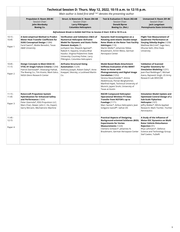|                               | Technical Session D: Thurs. May 12, 2022, 10:15 a.m. to 12:15 p.m.<br>Main author is listed first and "*" denotes the presenting author                                                                                         |                                                                                                                                                                                                            |                                                                                                                                                                                                                    |                                                                                                                                                                                                                     |  |
|-------------------------------|---------------------------------------------------------------------------------------------------------------------------------------------------------------------------------------------------------------------------------|------------------------------------------------------------------------------------------------------------------------------------------------------------------------------------------------------------|--------------------------------------------------------------------------------------------------------------------------------------------------------------------------------------------------------------------|---------------------------------------------------------------------------------------------------------------------------------------------------------------------------------------------------------------------|--|
|                               | Propulsion II: Room 203-BC<br>Session Chair:<br>John Mordosky<br>Boeing Co.                                                                                                                                                     | Struct. & Materials II: Room 204 AB<br>Session Chair:<br><b>Larry Pilkington</b><br><b>Columbia Helicopters</b>                                                                                            | Test & Evaluation II: Room 202-AB<br>Session Chair:<br><b>Donald Byrne</b><br>Boeing Co. (Ret.)                                                                                                                    | <b>Unmanned II: Room 201-BC</b><br>Session Chair:<br>Jack Langelaan<br>Pennsylvania State University                                                                                                                |  |
|                               |                                                                                                                                                                                                                                 | Refreshment Break in Exhibit Hall Prior to Session D Start: 9:30 to 10:15 a.m.                                                                                                                             |                                                                                                                                                                                                                    |                                                                                                                                                                                                                     |  |
| $10:15 -$<br>10:45            | A Semi-empirical Method to Predict<br>Motor Heat Transfer Coefficient for<br><b>SUAS Conceptual Design (1284)</b>                                                                                                               | Verification and Validation (V&V) of<br><b>Numerical Helicopter Airframe</b><br><b>Model for Dynamic and Static Finite</b>                                                                                 | Dynamic Stall Investigation on a<br><b>Rotating semi-elastic Double-swept</b><br>Rotor Blade at the Rotor Test Facility                                                                                            | <b>Flight Test Measurement of</b><br>Quadrotor Performance at<br>Varying Sideslip Angles (1258)                                                                                                                     |  |
| Paper 1                       | Farid Saemi*, Moble Benedict, Texas<br><b>A&amp;M University</b>                                                                                                                                                                | Element Analysis (7)<br>Junhyeon Seo, Mayank Agarwal*,<br>Rakesh K. Kapania, Srivatsa Bhat<br>Kaudur, Virginia Polytechnic State<br>University; Courtney Fisher, Larry<br>Pilkington, Columbia Helicopters | Göttingen (110)<br>Martin Müller*, Johannes Niklas<br>Braukmann, Armin Weiss, German<br>Aerospace Center                                                                                                           | Matthew McCrink*, Sage Herz,<br>Dhuree Seth, Ohio State<br>University                                                                                                                                               |  |
| $10:45 -$<br>11:15<br>Paper 2 | <b>Design Concepts to Meet EASA SC-</b><br>VTOL-01 Single Failure Criteria (1294)<br>Patrick Darmstadt*, Sheevangi Pathak,<br>The Boeing Co.; Tim Krantz, Mark Valco,                                                           | <b>Airframe Structural Sizing</b><br><b>Automation</b> (1229)<br>Anthony Joseph, Robert Daley*, Anne<br>Koeppel, Sikorsky, a Lockheed Martin                                                               | <b>Model Based Blade Attachment</b><br><b>Stiffness Evaluation of the MERIT</b><br><b>Rotor in Hover with</b><br><b>Photogrammetry and Digital Image</b>                                                           | <b>Validation of Scanned</b><br><b>Propeller Geometry for</b><br><b>Simulation Modeling (1231)</b><br>Jean-Paul Reddinger*, Michael                                                                                 |  |
|                               | NASA Glenn Research Center                                                                                                                                                                                                      | Co.                                                                                                                                                                                                        | Correlation (1252)<br>Verena Heuschneider*, Amine<br>Abdelmoula, Florian Berghammer,<br>Manfred Hajek, Technical University of<br>Munich; Jayant Sirohi, University of<br>Texas at Austin                          | Avera, Rajneesh Singh, US Army<br>Research Lab DEVCOM                                                                                                                                                               |  |
| $11:15 -$<br>11:45<br>Paper 3 | <b>Rotorcraft Propulsion System</b><br><b>Hybridization for Enhanced Safety</b><br>and Performance (1304)<br>Peter Giannola*, EDG Propulsion LLC;<br>Mars Chan, Dewer; John C. Ho, Expert;<br>Gerry McCann, Mechatronic Machine |                                                                                                                                                                                                            | <b>RACER Compound Helicopter:</b><br><b>Operational Wireless FTI Data</b><br>Transfer from ROTOR's up to<br>Fuselage $(1171)$<br>Marc Seznec*, Airbus Helicopters; Jean<br>Grégoire Ivanoff*, Safran DS            | <b>Simulation Model Update and</b><br><b>Optimized Control Design of a</b><br><b>Sub-Scale Flybarless</b><br>Helicopter (107)<br>leffry Walker*, Bihrle Applied<br>Research; Mark Tischler, Tischler<br>Aeronautics |  |
| $11:45 -$<br>12:15<br>Paper 4 |                                                                                                                                                                                                                                 |                                                                                                                                                                                                            | <b>Practical Aspects of Designing</b><br><b>Background-oriented Schlieren (BOS)</b><br><b>Experiments for Vortex</b><br>Measurements (1224)<br>Clemens Schwarz*, Johannes N.<br>Braukmann, German Aerospace Center | A Study of the Influence of<br><b>Motor-ESC Dynamics on Multi</b><br><b>Rotor Vehicle Disturbance</b><br><b>Rejection (91)</b><br>Rhys Lehmann*, Defence<br>Science and Technology Group;<br>Stef Ceelen, TuDelft   |  |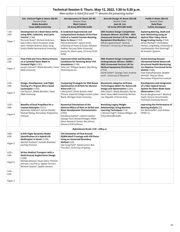|                             | Technical Session E: Thurs. May 12, 2022, 1:30 to 5:30 p.m.<br>Main author is listed first and "*" denotes the presenting author                                                                                                                               |                                                                                                                                                                                                                                                                                                                           |                                                                                                                                                                                                                                     |                                                                                                                                                                                                                                                                          |
|-----------------------------|----------------------------------------------------------------------------------------------------------------------------------------------------------------------------------------------------------------------------------------------------------------|---------------------------------------------------------------------------------------------------------------------------------------------------------------------------------------------------------------------------------------------------------------------------------------------------------------------------|-------------------------------------------------------------------------------------------------------------------------------------------------------------------------------------------------------------------------------------|--------------------------------------------------------------------------------------------------------------------------------------------------------------------------------------------------------------------------------------------------------------------------|
|                             | Adv. Vertical Flight II: Room 203-BC<br>Session Chair:<br><b>Moble Benedict</b><br><b>Texas A&amp;M University</b>                                                                                                                                             | Aerodynamics IV: Room 201-BC<br>Session Chair:<br><b>Mark Calvert</b><br><b>US Army DEVCOM AVMC</b>                                                                                                                                                                                                                       | Aircraft Design III: Room 202-AB<br>Session Chair:<br>Joon W. Lim<br><b>US Army DEVCOM AvMC</b>                                                                                                                                     | HUMS II: Room 202-CD<br>Session Chair:<br><b>Dale Pluss</b><br><b>Collins Aerospace</b>                                                                                                                                                                                  |
| $1:30 -$<br>2:00<br>Paper 1 | Development of a Multi-Rotor eVTOL<br>Using RPM, Collective, and Cyclic<br><b>Control</b> (1184)<br>Riccardo Roiati*, Richard Anderson,<br>Kyle Collins, Patric Hruswicki, Vivek<br>Saini, Nishant Sharma, Xinyu Yang,<br>Embry Riddle Aeronautical University | A Combined Experimental and<br><b>Computational Analysis of the Flow</b><br><b>Field of a Coaxial Counter-Rotating</b><br><b>Rotor in Hover (1157)</b><br>Patrick Mortimer*, Jayant Sirohi,<br>University of Texas at Austin; Ashwani<br>Padthe, San Jose State University;<br>Jimmy Ho, Mark Lopez, US Army CCDC<br>AvMC | 38th Student Design Competition<br><b>Graduate Winner: ALICORN - 2025</b><br><b>Unmanned Vertical Lift for Medical</b><br><b>Equipment Distribution (1323)</b><br>Dilhara Jayasundara*, Spencer<br>Fishman*, University of Maryland | <b>Exploring Bearing, Shaft and</b><br><b>Gear Monitoring using an</b><br><b>Optical Fiber Fabry-Perot</b><br>Bragg Grating Cavity (1164)<br>James Washak*, Christopher<br>Holmes, Ling Wang, University of<br>Southampton; Paul Dunning*,<br><b>GE Aviation Systems</b> |
| $2:00 -$<br>2:30<br>Paper 2 | <b>Flow-Field and Force Measurements</b><br>on a Cycloidal Rotor Blade in<br>Forward Flight (1281)<br>Joseph Heimerl*, Moble Benedict, Texas<br><b>A&amp;M University</b>                                                                                      | <b>Improved Initial and Boundary</b><br><b>Conditions for Hovering Rotor CFD</b><br><b>Simulations</b> (1196)<br>Feilin Jia*, Philippe Spalart, Qiqi Wang,<br>Flexcompute Inc.                                                                                                                                            | 38th Student Design Competition<br>Undergraduate Winner: GARRA -<br>2025 Unmanned Vertical Lift for<br><b>Medical Equipment Distribution</b><br>(1324)<br>Derek Safieh*, Georgia Tech; Andrew<br>Lent*, University of Maryland      | <b>Active-Sensing Acousto-</b><br>Ultrasound-based Rotorcraft<br><b>Structural Health Monitoring</b><br>via Adaptive Functional Series<br><b>Models</b> (1286)<br>Fotis Kopsaftopoulos, Shabbir<br>Ahmed*, Peiyuan Zhou,<br>Rensselaer Polytechnic Institute             |
| $2:30 -$<br>3:00<br>Paper 3 | Design, Development, and Flight<br>Testing of a 70-gram Micro Quad-<br>Cyclocopter (1292)<br>Carl Runco*, Moble Benedict, Texas<br>A&M University                                                                                                              | <b>Comparing Strategies for DNS Based</b><br><b>Optimization of Airfoils for Martian</b><br><b>Rotorcraft</b> (33)<br>Lidia Caros*, Oliver Buxton, Peter<br>Vincent, Imperial College London; Julian<br>Blank, Michigan State University                                                                                  | <b>Biomimetic Adaptive Airframe</b><br><b>Technologies (BAAT) for Rotorcraft</b><br>Design and Optimization (1230)<br>Allen Davis*, Moble Benedict, Darren<br>Hartl, Texas A&M University; Bochan<br>Lee, Republic of Korea Navy    | <b>Development and Integration</b><br>of a Fiber-Optical Sensor<br><b>System for Rotor Blade State</b><br>Observation (1266)<br>Florian Berghammer*, Manfred<br>Hajek, Verena Heuschneider,<br>Technical University Munich                                               |
| $3:30 -$<br>4:00<br>Paper 4 | Benefits of Dual Propellers for a<br>Coaxial Helicopter (1251)<br>Alexander Stillman*, Farhan Gandhi,<br>Michael McKay, Rensselaer Polytechnic<br>Institute                                                                                                    | <b>Numerical Simulations of the</b><br>Adverse Effects of Rain on Airfoil and<br><b>Rotor Aerodynamic Characteristics</b><br>(1203)<br>Aishwerya Gahlot*, Lakshmi Sankar,<br>Georgia Tech; Richard Kreeger, NASA<br>Glenn Research Center; Ritu Eshcol,<br>Siemens PLM Software                                           | <b>Revisiting Legacy Weight</b><br><b>Relationships Using Machine</b><br><b>Learning Techniques (114)</b><br>J. Michael Vegh*, Andrew Milligan, US<br>Army DEVCOM AvMC                                                              | <b>Improving the Performance of</b><br><b>Bearing Analysis (25)</b><br>Eric Bechhoefer*, Josh Kethan,<br>GPMS Inc.                                                                                                                                                       |
|                             |                                                                                                                                                                                                                                                                | Refreshment Break: 3:30 - 4:00 p.m.                                                                                                                                                                                                                                                                                       |                                                                                                                                                                                                                                     |                                                                                                                                                                                                                                                                          |
| $4:00 -$<br>4:30<br>Paper 5 | <b>6-DOF Flight Dynamics Model</b><br>Identification of a Hybrid-Lift<br>Multicopter in Hover (1209)<br>Mitchell Graham*, Subodh Bhandari,<br>Cal Poly Pomona                                                                                                  | <b>CFD Simulation of Flow Around</b><br>ROBIN-Mod7 Fuselage with PSP Rotor<br><b>Using an Immersed Boundary</b><br><b>Method</b> (120)<br>Hee Sung Park*, Daniel Linton, Ben<br>Thornber, University of Sydney                                                                                                            |                                                                                                                                                                                                                                     |                                                                                                                                                                                                                                                                          |
| $4:30 -$<br>5:00<br>Paper 6 | <b>M-Star Medical Transport with a</b><br><b>Multi-Ducted Angled Rotor Design</b><br>(1289)<br>Michael Johnson, Stuart Dana, Thomas<br>Johnson, Liza Pierce, SpyDar Sensors<br>Richard Catania*, SpyDar Sensors                                                |                                                                                                                                                                                                                                                                                                                           |                                                                                                                                                                                                                                     |                                                                                                                                                                                                                                                                          |
| $5:00 -$<br>5:30            |                                                                                                                                                                                                                                                                |                                                                                                                                                                                                                                                                                                                           |                                                                                                                                                                                                                                     |                                                                                                                                                                                                                                                                          |
| Paper 7                     |                                                                                                                                                                                                                                                                |                                                                                                                                                                                                                                                                                                                           |                                                                                                                                                                                                                                     |                                                                                                                                                                                                                                                                          |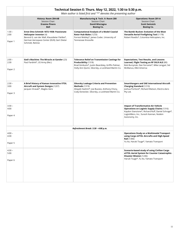|                             | Technical Session E: Thurs. May 12, 2022, 1:30 to 5:30 p.m.<br>Main author is listed first and "*" denotes the presenting author                                                      |                                                                                                                                                                                              |                                                                                                                                                                                                                      |  |  |  |
|-----------------------------|---------------------------------------------------------------------------------------------------------------------------------------------------------------------------------------|----------------------------------------------------------------------------------------------------------------------------------------------------------------------------------------------|----------------------------------------------------------------------------------------------------------------------------------------------------------------------------------------------------------------------|--|--|--|
|                             | History: Room 204-AB<br>Session Chair:<br><b>Erasmo Pinero</b><br><b>Bell</b>                                                                                                         | Manufacturing & Tech. II: Room 200<br>Session Chair:<br>David Misciagna<br><b>Boeing Co.</b>                                                                                                 | <b>Operations: Room 201-A</b><br>Session Chair:<br><b>Scott Swinsick</b><br><b>Boeing Co.</b>                                                                                                                        |  |  |  |
| $1:30 -$<br>2:00<br>Paper 1 | Ernst Otto Schmidt 1872-1938: Passionate<br>Helicopter Inventor (4)<br>Berend G. van der Wall, Klausdieter Pahlke*,<br>German Aerospace Center (DLR); Gert Dieter<br>Schmidt, Retiree | <b>Computational Analysis of a Model Coaxial</b><br>Rotor Hub Wake (1233)<br>Forrest Mobley*, James Coder, University of<br>Tennessee Knoxville                                              | The Bambi Bucket: Evolution of the Most<br><b>Versatile Aerial Firefighting Tool (1178)</b><br>Robert Roedts*, Columbia Helicopters, Inc.                                                                            |  |  |  |
| $2:00 -$<br>2:30<br>Paper 2 | <b>God's Machine: The Miracle at Gander (23)</b><br>Paul Fardink*, US Army (Ret.)                                                                                                     | <b>Tolerance Relief on Transmission Castings for</b><br><b>Producibility</b> (1318)<br>Brad Gimbutis*, Justin Beardsley, Griffin Palmer,<br>Holly Ann Quinn, Sikorsky, a Lockheed Martin Co. | <b>Expectations, Test Results, and Lessons</b><br>Learned, Flight Testing an RF DILR ALE (80)<br>Bob Burzynski, Dan Ferrante*, Mike Lengyel, Sid<br>McManus, Elbit America                                           |  |  |  |
| $2:30 -$<br>3:00<br>Paper 3 | A Brief History of Kaman Innovative VTOL<br>Aircraft and System Designs (1207)<br>Jacques Virasak*, Maglev Aero                                                                       | Sikorsky Leakage Criteria and Prevention<br><b>Methods</b> (1319)<br>Altayeb Hashim*, Joe Buzzeo, Anthony Chory,<br>Cody Donecker, Sikorsky, a Lockheed Martin Co.                           | <b>SmartHangars and SAE International Aircraft</b><br><b>Charging Standard (1210)</b><br>Joshua Portlock*, Richard Watson, Electro.Aero<br>Pty Ltd.                                                                  |  |  |  |
| $3:30 -$<br>4:00<br>Paper 4 |                                                                                                                                                                                       |                                                                                                                                                                                              | <b>Impact of Transformative Air Vehicle</b><br><b>Operations on Logistic Supply Chains (1316)</b><br>Kaydon Stanzione*, Richard Ruff, Daniel Schrage*,<br>LogistiWerx, Inc.; Suresh Kannan, Nodein<br>Autonomy, Inc. |  |  |  |
|                             |                                                                                                                                                                                       | Refreshment Break: 3:30 - 4:00 p.m.                                                                                                                                                          |                                                                                                                                                                                                                      |  |  |  |
| $4:00 -$<br>4:30<br>Paper 5 |                                                                                                                                                                                       |                                                                                                                                                                                              | <b>Operations Study on a Multimodal Transport</b><br>using Cargo eVTOL Aircrafts and High-Speed<br><b>Rail</b> (1306)<br>Yu Ito, Haruki Tsuge*, Yamato Transport                                                     |  |  |  |
| $4:30 -$<br>5:00<br>Paper 6 |                                                                                                                                                                                       |                                                                                                                                                                                              | Scenario-based study of using Civilian Cargo<br>eVTOL Aerial System for Counter Catastrophic-<br>Disaster Mission (1246)<br>Haruki Tsuge*, Yu Ito, Yamato Transport                                                  |  |  |  |
|                             |                                                                                                                                                                                       |                                                                                                                                                                                              |                                                                                                                                                                                                                      |  |  |  |